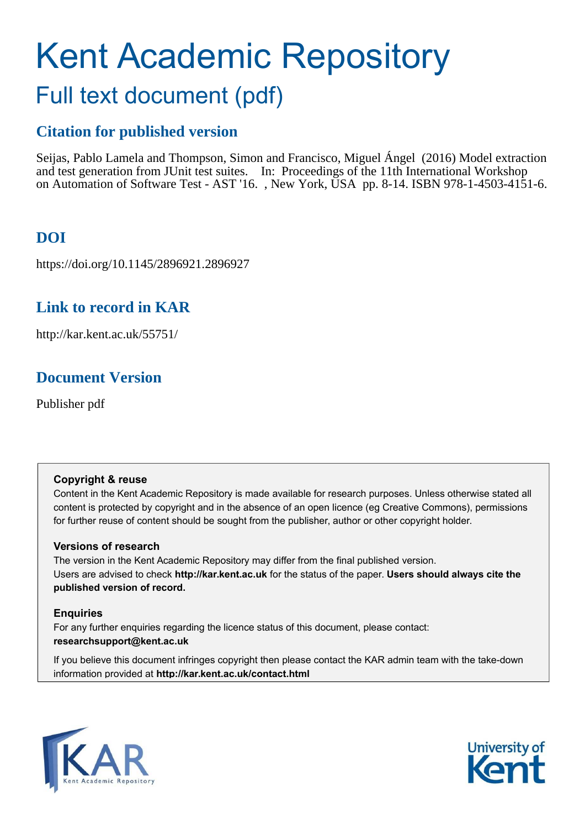# Kent Academic Repository Full text document (pdf)

# **Citation for published version**

Seijas, Pablo Lamela and Thompson, Simon and Francisco, Miguel Ángel (2016) Model extraction and test generation from JUnit test suites. In: Proceedings of the 11th International Workshop on Automation of Software Test - AST '16. , New York, USA pp. 8-14. ISBN 978-1-4503-4151-6.

# **DOI**

https://doi.org/10.1145/2896921.2896927

### **Link to record in KAR**

http://kar.kent.ac.uk/55751/

# **Document Version**

Publisher pdf

### **Copyright & reuse**

Content in the Kent Academic Repository is made available for research purposes. Unless otherwise stated all content is protected by copyright and in the absence of an open licence (eg Creative Commons), permissions for further reuse of content should be sought from the publisher, author or other copyright holder.

### **Versions of research**

The version in the Kent Academic Repository may differ from the final published version. Users are advised to check **http://kar.kent.ac.uk** for the status of the paper. **Users should always cite the published version of record.**

### **Enquiries**

For any further enquiries regarding the licence status of this document, please contact: **researchsupport@kent.ac.uk**

If you believe this document infringes copyright then please contact the KAR admin team with the take-down information provided at **http://kar.kent.ac.uk/contact.html**



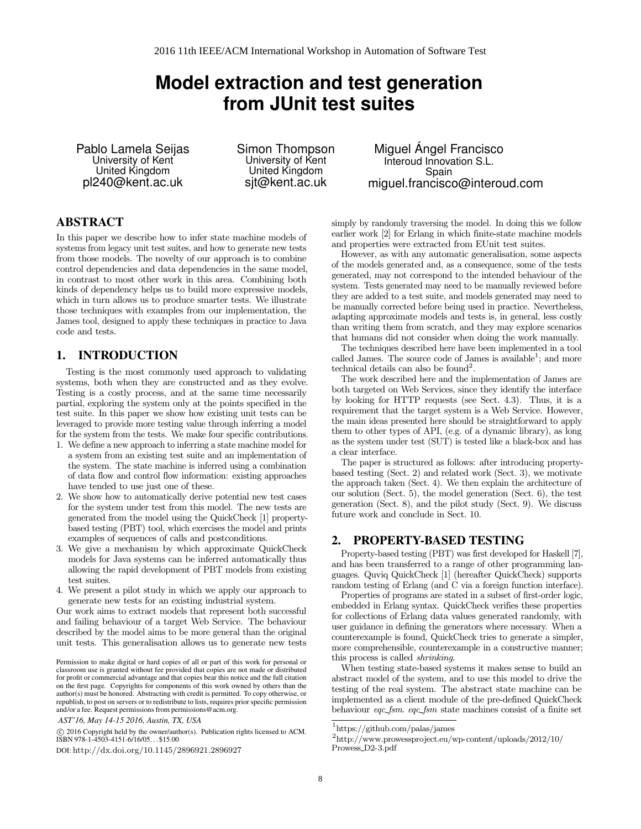# **Model extraction and test generation from JUnit test suites**

Pablo Lamela Seijas University of Kent United Kingdom pl240@kent.ac.uk

Simon Thompson University of Kent United Kingdom sjt@kent.ac.uk

Miguel Ángel Francisco Interoud Innovation S.L. Spain miguel.francisco@interoud.com

#### ABSTRACT

In this paper we describe how to infer state machine models of systems from legacy unit test suites, and how to generate new tests from those models. The novelty of our approach is to combine control dependencies and data dependencies in the same model, in contrast to most other work in this area. Combining both kinds of dependency helps us to build more expressive models, which in turn allows us to produce smarter tests. We illustrate those techniques with examples from our implementation, the James tool, designed to apply these techniques in practice to Java code and tests.

#### 1. INTRODUCTION

Testing is the most commonly used approach to validating systems, both when they are constructed and as they evolve. Testing is a costly process, and at the same time necessarily partial, exploring the system only at the points specified in the test suite. In this paper we show how existing unit tests can be leveraged to provide more testing value through inferring a model for the system from the tests. We make four specific contributions.

- 1. We define a new approach to inferring a state machine model for a system from an existing test suite and an implementation of the system. The state machine is inferred using a combination of data flow and control flow information: existing approaches have tended to use just one of these.
- 2. We show how to automatically derive potential new test cases for the system under test from this model. The new tests are generated from the model using the QuickCheck [1] propertybased testing (PBT) tool, which exercises the model and prints examples of sequences of calls and postconditions.
- 3. We give a mechanism by which approximate QuickCheck models for Java systems can be inferred automatically thus allowing the rapid development of PBT models from existing test suites.
- 4. We present a pilot study in which we apply our approach to generate new tests for an existing industrial system.

Our work aims to extract models that represent both successful and failing behaviour of a target Web Service. The behaviour described by the model aims to be more general than the original unit tests. This generalisation allows us to generate new tests

 c 2016 Copyright held by the owner/author(s). Publication rights licensed to ACM. ISBN 978-1-4503-4151-6/16/05. . . \$15.00

DOI: http://dx.doi.org/10.1145/2896921.2896927

simply by randomly traversing the model. In doing this we follow earlier work [2] for Erlang in which finite-state machine models and properties were extracted from EUnit test suites.

However, as with any automatic generalisation, some aspects of the models generated and, as a consequence, some of the tests generated, may not correspond to the intended behaviour of the system. Tests generated may need to be manually reviewed before they are added to a test suite, and models generated may need to be manually corrected before being used in practice. Nevertheless, adapting approximate models and tests is, in general, less costly than writing them from scratch, and they may explore scenarios that humans did not consider when doing the work manually.

The techniques described here have been implemented in a tool called James. The source code of James is available<sup>1</sup>; and more technical details can also be found<sup>2</sup>.

The work described here and the implementation of James are both targeted on Web Services, since they identify the interface by looking for HTTP requests (see Sect. 4.3). Thus, it is a requirement that the target system is a Web Service. However, the main ideas presented here should be straightforward to apply them to other types of API, (e.g. of a dynamic library), as long as the system under test (SUT) is tested like a black-box and has a clear interface.

The paper is structured as follows: after introducing propertybased testing (Sect. 2) and related work (Sect. 3), we motivate the approach taken (Sect. 4). We then explain the architecture of our solution (Sect. 5), the model generation (Sect. 6), the test generation (Sect. 8), and the pilot study (Sect. 9). We discuss future work and conclude in Sect. 10.

#### 2. PROPERTY-BASED TESTING

Property-based testing (PBT) was first developed for Haskell [7], and has been transferred to a range of other programming languages. Quviq QuickCheck [1] (hereafter QuickCheck) supports random testing of Erlang (and C via a foreign function interface).

Properties of programs are stated in a subset of first-order logic, embedded in Erlang syntax. QuickCheck verifies these properties for collections of Erlang data values generated randomly, with user guidance in defining the generators where necessary. When a counterexample is found, QuickCheck tries to generate a simpler, more comprehensible, counterexample in a constructive manner; this process is called *shrinking*.

When testing state-based systems it makes sense to build an abstract model of the system, and to use this model to drive the testing of the real system. The abstract state machine can be implemented as a client module of the pre-defined QuickCheck behaviour *eqc fsm*. *eqc fsm* state machines consist of a finite set

Permission to make digital or hard copies of all or part of this work for personal or classroom use is granted without fee provided that copies are not made or distributed for profit or commercial advantage and that copies bear this notice and the full citation on the first page. Copyrights for components of this work owned by others than the author(s) must be honored. Abstracting with credit is permitted. To copy otherwise, or republish, to post on servers or to redistribute to lists, requires prior specific permission and/or a fee. Request permissions from permissions@acm.org.

*AST'16, May 14-15 2016, Austin, TX, USA*

<sup>1</sup> https://github.com/palas/james

<sup>2</sup> http://www.prowessproject.eu/wp-content/uploads/2012/10/ Prowess D2-3.pdf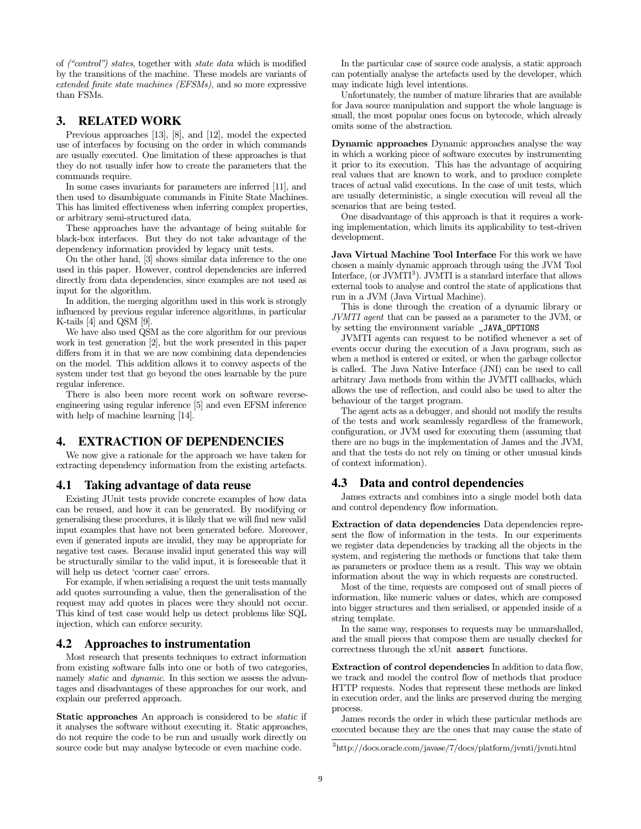of *("control") states*, together with *state data* which is modified by the transitions of the machine. These models are variants of *extended finite state machines (EFSMs)*, and so more expressive than FSMs.

#### 3. RELATED WORK

Previous approaches [13], [8], and [12], model the expected use of interfaces by focusing on the order in which commands are usually executed. One limitation of these approaches is that they do not usually infer how to create the parameters that the commands require.

In some cases invariants for parameters are inferred [11], and then used to disambiguate commands in Finite State Machines. This has limited effectiveness when inferring complex properties, or arbitrary semi-structured data.

These approaches have the advantage of being suitable for black-box interfaces. But they do not take advantage of the dependency information provided by legacy unit tests.

On the other hand, [3] shows similar data inference to the one used in this paper. However, control dependencies are inferred directly from data dependencies, since examples are not used as input for the algorithm.

In addition, the merging algorithm used in this work is strongly influenced by previous regular inference algorithms, in particular K-tails [4] and QSM [9].

We have also used QSM as the core algorithm for our previous work in test generation [2], but the work presented in this paper differs from it in that we are now combining data dependencies on the model. This addition allows it to convey aspects of the system under test that go beyond the ones learnable by the pure regular inference.

There is also been more recent work on software reverseengineering using regular inference [5] and even EFSM inference with help of machine learning [14].

#### 4. EXTRACTION OF DEPENDENCIES

We now give a rationale for the approach we have taken for extracting dependency information from the existing artefacts.

#### 4.1 Taking advantage of data reuse

Existing JUnit tests provide concrete examples of how data can be reused, and how it can be generated. By modifying or generalising these procedures, it is likely that we will find new valid input examples that have not been generated before. Moreover, even if generated inputs are invalid, they may be appropriate for negative test cases. Because invalid input generated this way will be structurally similar to the valid input, it is foreseeable that it will help us detect 'corner case' errors.

For example, if when serialising a request the unit tests manually add quotes surrounding a value, then the generalisation of the request may add quotes in places were they should not occur. This kind of test case would help us detect problems like SQL injection, which can enforce security.

#### 4.2 Approaches to instrumentation

Most research that presents techniques to extract information from existing software falls into one or both of two categories, namely *static* and *dynamic*. In this section we assess the advantages and disadvantages of these approaches for our work, and explain our preferred approach.

Static approaches An approach is considered to be *static* if it analyses the software without executing it. Static approaches, do not require the code to be run and usually work directly on source code but may analyse bytecode or even machine code.

In the particular case of source code analysis, a static approach can potentially analyse the artefacts used by the developer, which may indicate high level intentions.

Unfortunately, the number of mature libraries that are available for Java source manipulation and support the whole language is small, the most popular ones focus on bytecode, which already omits some of the abstraction.

Dynamic approaches Dynamic approaches analyse the way in which a working piece of software executes by instrumenting it prior to its execution. This has the advantage of acquiring real values that are known to work, and to produce complete traces of actual valid executions. In the case of unit tests, which are usually deterministic, a single execution will reveal all the scenarios that are being tested.

One disadvantage of this approach is that it requires a working implementation, which limits its applicability to test-driven development.

Java Virtual Machine Tool Interface For this work we have chosen a mainly dynamic approach through using the JVM Tool Interface, (or JVMTI<sup>3</sup>). JVMTI is a standard interface that allows external tools to analyse and control the state of applications that run in a JVM (Java Virtual Machine).

This is done through the creation of a dynamic library or *JVMTI agent* that can be passed as a parameter to the JVM, or by setting the environment variable \_JAVA\_OPTIONS

JVMTI agents can request to be notified whenever a set of events occur during the execution of a Java program, such as when a method is entered or exited, or when the garbage collector is called. The Java Native Interface (JNI) can be used to call arbitrary Java methods from within the JVMTI callbacks, which allows the use of reflection, and could also be used to alter the behaviour of the target program.

The agent acts as a debugger, and should not modify the results of the tests and work seamlessly regardless of the framework, configuration, or JVM used for executing them (assuming that there are no bugs in the implementation of James and the JVM, and that the tests do not rely on timing or other unusual kinds of context information).

#### 4.3 Data and control dependencies

James extracts and combines into a single model both data and control dependency flow information.

Extraction of data dependencies Data dependencies represent the flow of information in the tests. In our experiments we register data dependencies by tracking all the objects in the system, and registering the methods or functions that take them as parameters or produce them as a result. This way we obtain information about the way in which requests are constructed.

Most of the time, requests are composed out of small pieces of information, like numeric values or dates, which are composed into bigger structures and then serialised, or appended inside of a string template.

In the same way, responses to requests may be unmarshalled, and the small pieces that compose them are usually checked for correctness through the xUnit assert functions.

Extraction of control dependencies In addition to data flow, we track and model the control flow of methods that produce HTTP requests. Nodes that represent these methods are linked in execution order, and the links are preserved during the merging process.

James records the order in which these particular methods are executed because they are the ones that may cause the state of

<sup>3</sup> http://docs.oracle.com/javase/7/docs/platform/jvmti/jvmti.html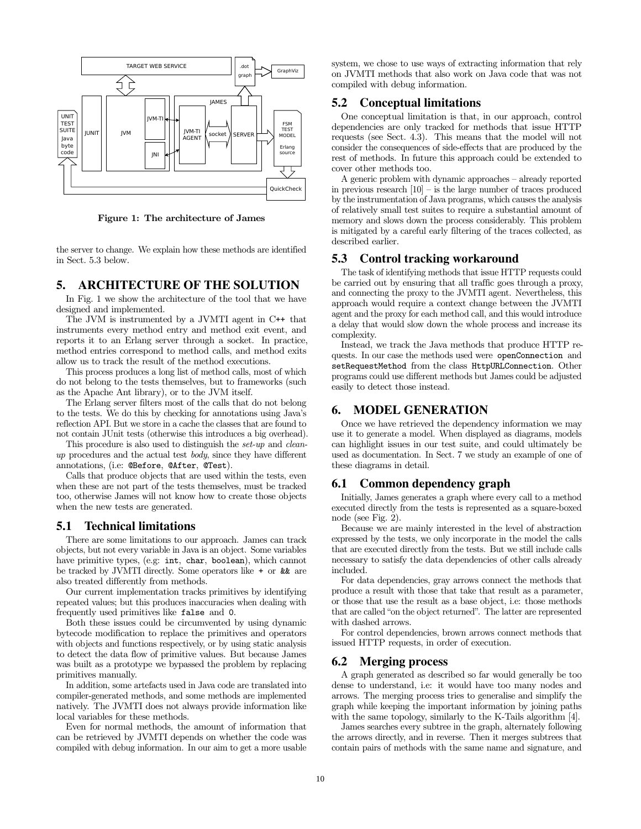

Figure 1: The architecture of James

the server to change. We explain how these methods are identified in Sect. 5.3 below.

#### 5. ARCHITECTURE OF THE SOLUTION

In Fig. 1 we show the architecture of the tool that we have designed and implemented.

The JVM is instrumented by a JVMTI agent in C++ that instruments every method entry and method exit event, and reports it to an Erlang server through a socket. In practice, method entries correspond to method calls, and method exits allow us to track the result of the method executions.

This process produces a long list of method calls, most of which do not belong to the tests themselves, but to frameworks (such as the Apache Ant library), or to the JVM itself.

The Erlang server filters most of the calls that do not belong to the tests. We do this by checking for annotations using Java's reflection API. But we store in a cache the classes that are found to not contain JUnit tests (otherwise this introduces a big overhead).

This procedure is also used to distinguish the *set-up* and *cleanup* procedures and the actual test *body*, since they have different annotations, (i.e: @Before, @After, @Test).

Calls that produce objects that are used within the tests, even when these are not part of the tests themselves, must be tracked too, otherwise James will not know how to create those objects when the new tests are generated.

#### 5.1 Technical limitations

There are some limitations to our approach. James can track objects, but not every variable in Java is an object. Some variables have primitive types, (e.g: int, char, boolean), which cannot be tracked by JVMTI directly. Some operators like + or && are also treated differently from methods.

Our current implementation tracks primitives by identifying repeated values; but this produces inaccuracies when dealing with frequently used primitives like false and 0.

Both these issues could be circumvented by using dynamic bytecode modification to replace the primitives and operators with objects and functions respectively, or by using static analysis to detect the data flow of primitive values. But because James was built as a prototype we bypassed the problem by replacing primitives manually.

In addition, some artefacts used in Java code are translated into compiler-generated methods, and some methods are implemented natively. The JVMTI does not always provide information like local variables for these methods.

Even for normal methods, the amount of information that can be retrieved by JVMTI depends on whether the code was compiled with debug information. In our aim to get a more usable system, we chose to use ways of extracting information that rely on JVMTI methods that also work on Java code that was not compiled with debug information.

#### 5.2 Conceptual limitations

One conceptual limitation is that, in our approach, control dependencies are only tracked for methods that issue HTTP requests (see Sect. 4.3). This means that the model will not consider the consequences of side-effects that are produced by the rest of methods. In future this approach could be extended to cover other methods too.

A generic problem with dynamic approaches – already reported in previous research  $[10]$  – is the large number of traces produced by the instrumentation of Java programs, which causes the analysis of relatively small test suites to require a substantial amount of memory and slows down the process considerably. This problem is mitigated by a careful early filtering of the traces collected, as described earlier.

#### 5.3 Control tracking workaround

The task of identifying methods that issue HTTP requests could be carried out by ensuring that all traffic goes through a proxy, and connecting the proxy to the JVMTI agent. Nevertheless, this approach would require a context change between the JVMTI agent and the proxy for each method call, and this would introduce a delay that would slow down the whole process and increase its complexity.

Instead, we track the Java methods that produce HTTP requests. In our case the methods used were openConnection and setRequestMethod from the class HttpURLConnection. Other programs could use different methods but James could be adjusted easily to detect those instead.

#### 6. MODEL GENERATION

Once we have retrieved the dependency information we may use it to generate a model. When displayed as diagrams, models can highlight issues in our test suite, and could ultimately be used as documentation. In Sect. 7 we study an example of one of these diagrams in detail.

#### 6.1 Common dependency graph

Initially, James generates a graph where every call to a method executed directly from the tests is represented as a square-boxed node (see Fig. 2).

Because we are mainly interested in the level of abstraction expressed by the tests, we only incorporate in the model the calls that are executed directly from the tests. But we still include calls necessary to satisfy the data dependencies of other calls already included.

For data dependencies, gray arrows connect the methods that produce a result with those that take that result as a parameter, or those that use the result as a base object, i.e: those methods that are called "on the object returned". The latter are represented with dashed arrows.

For control dependencies, brown arrows connect methods that issued HTTP requests, in order of execution.

#### 6.2 Merging process

A graph generated as described so far would generally be too dense to understand, i.e: it would have too many nodes and arrows. The merging process tries to generalise and simplify the graph while keeping the important information by joining paths with the same topology, similarly to the K-Tails algorithm [4].

James searches every subtree in the graph, alternately following the arrows directly, and in reverse. Then it merges subtrees that contain pairs of methods with the same name and signature, and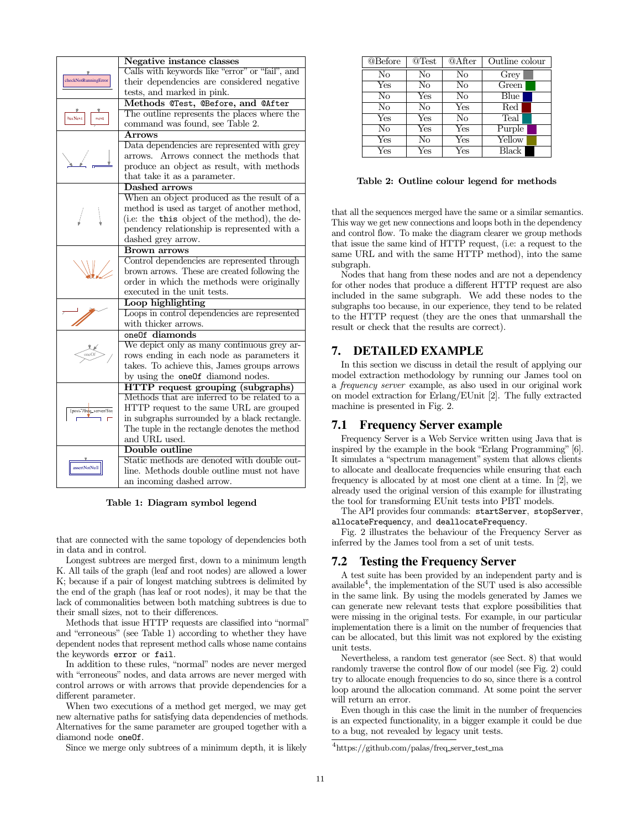|                         | Negative instance classes                                             |  |
|-------------------------|-----------------------------------------------------------------------|--|
|                         | Calls with keywords like "error" or "fail", and                       |  |
| checkNotRunningError    | their dependencies are considered negative                            |  |
|                         | tests, and marked in pink.                                            |  |
| hasNext<br>next         | Methods Clest, CBefore, and CAfter                                    |  |
|                         | The outline represents the places where the                           |  |
|                         | command was found, see Table 2.                                       |  |
|                         | <b>Arrows</b>                                                         |  |
|                         | Data dependencies are represented with grey                           |  |
|                         | arrows. Arrows connect the methods that                               |  |
|                         | produce an object as result, with methods                             |  |
|                         | that take it as a parameter.                                          |  |
|                         | Dashed arrows                                                         |  |
|                         | When an object produced as the result of a                            |  |
|                         | method is used as target of another method,                           |  |
|                         | (i.e. the <b>this</b> object of the method), the de-                  |  |
|                         | pendency relationship is represented with a                           |  |
|                         | dashed grey arrow.                                                    |  |
|                         | <b>Brown arrows</b>                                                   |  |
|                         | Control dependencies are represented through                          |  |
|                         | brown arrows. These are created following the                         |  |
|                         | order in which the methods were originally                            |  |
|                         | executed in the unit tests.                                           |  |
|                         | Loop highlighting                                                     |  |
|                         |                                                                       |  |
|                         | Loops in control dependencies are represented<br>with thicker arrows. |  |
|                         | one0f diamonds                                                        |  |
|                         |                                                                       |  |
|                         | We depict only as many continuous grey ar-                            |  |
|                         | rows ending in each node as parameters it                             |  |
|                         | takes. To achieve this, James groups arrows                           |  |
|                         | by using the oneOf diamond nodes.                                     |  |
| {post,"/freq_server/Sto | <b>HTTP</b> request grouping (subgraphs)                              |  |
|                         | Methods that are inferred to be related to a                          |  |
|                         | HTTP request to the same URL are grouped                              |  |
|                         | in subgraphs surrounded by a black rectangle.                         |  |
|                         | The tuple in the rectangle denotes the method                         |  |
|                         | and URL used.                                                         |  |
|                         | Double outline                                                        |  |
| assert NotNull          | Static methods are denoted with double out-                           |  |
|                         | line. Methods double outline must not have                            |  |
|                         | an incoming dashed arrow.                                             |  |

Table 1: Diagram symbol legend

that are connected with the same topology of dependencies both in data and in control.

Longest subtrees are merged first, down to a minimum length K. All tails of the graph (leaf and root nodes) are allowed a lower K; because if a pair of longest matching subtrees is delimited by the end of the graph (has leaf or root nodes), it may be that the lack of commonalities between both matching subtrees is due to their small sizes, not to their differences.

Methods that issue HTTP requests are classified into "normal" and "erroneous" (see Table 1) according to whether they have dependent nodes that represent method calls whose name contains the keywords error or fail.

In addition to these rules, "normal" nodes are never merged with "erroneous" nodes, and data arrows are never merged with control arrows or with arrows that provide dependencies for a different parameter.

When two executions of a method get merged, we may get new alternative paths for satisfying data dependencies of methods. Alternatives for the same parameter are grouped together with a diamond node oneOf.

Since we merge only subtrees of a minimum depth, it is likely

| <b>@Before</b>         | @Test                  | @After | Outline colour |
|------------------------|------------------------|--------|----------------|
| $\overline{\text{No}}$ | No                     | No     | Grey           |
| Yes                    | $\overline{\text{No}}$ | No     | Green          |
| $\overline{No}$        | Yes                    | No     | Blue           |
| No                     | No                     | Yes    | Red            |
| Yes                    | Yes                    | No     | Teal           |
| $\overline{\text{No}}$ | Yes                    | Yes    | Purple         |
| Yes                    | No                     | Yes    | Yellow         |
| Yes                    | Yes                    | Yes    | <b>Black</b>   |

Table 2: Outline colour legend for methods

that all the sequences merged have the same or a similar semantics. This way we get new connections and loops both in the dependency and control flow. To make the diagram clearer we group methods that issue the same kind of HTTP request, (i.e: a request to the same URL and with the same HTTP method), into the same subgraph.

Nodes that hang from these nodes and are not a dependency for other nodes that produce a different HTTP request are also included in the same subgraph. We add these nodes to the subgraphs too because, in our experience, they tend to be related to the HTTP request (they are the ones that unmarshall the result or check that the results are correct).

#### 7. DETAILED EXAMPLE

In this section we discuss in detail the result of applying our model extraction methodology by running our James tool on a *frequency server* example, as also used in our original work on model extraction for Erlang/EUnit [2]. The fully extracted machine is presented in Fig. 2.

#### 7.1 Frequency Server example

Frequency Server is a Web Service written using Java that is inspired by the example in the book "Erlang Programming" [6]. It simulates a "spectrum management" system that allows clients to allocate and deallocate frequencies while ensuring that each frequency is allocated by at most one client at a time. In [2], we already used the original version of this example for illustrating the tool for transforming EUnit tests into PBT models.

The API provides four commands: startServer, stopServer, allocateFrequency, and deallocateFrequency.

Fig. 2 illustrates the behaviour of the Frequency Server as inferred by the James tool from a set of unit tests.

#### 7.2 Testing the Frequency Server

A test suite has been provided by an independent party and is available<sup>4</sup> , the implementation of the SUT used is also accessible in the same link. By using the models generated by James we can generate new relevant tests that explore possibilities that were missing in the original tests. For example, in our particular implementation there is a limit on the number of frequencies that can be allocated, but this limit was not explored by the existing unit tests.

Nevertheless, a random test generator (see Sect. 8) that would randomly traverse the control flow of our model (see Fig. 2) could try to allocate enough frequencies to do so, since there is a control loop around the allocation command. At some point the server will return an error.

Even though in this case the limit in the number of frequencies is an expected functionality, in a bigger example it could be due to a bug, not revealed by legacy unit tests.

<sup>&</sup>lt;sup>4</sup>https://github.com/palas/freq\_server\_test\_ma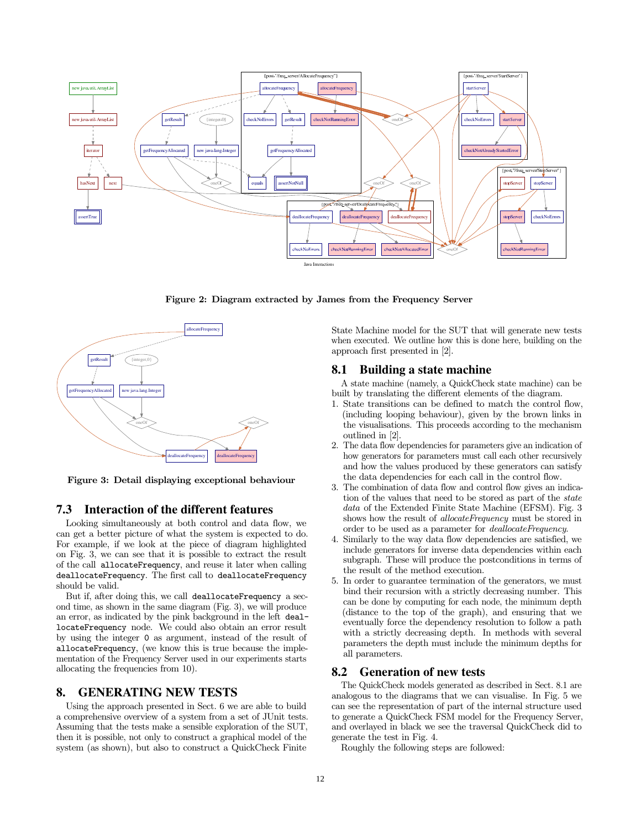

Figure 2: Diagram extracted by James from the Frequency Server



Figure 3: Detail displaying exceptional behaviour

#### 7.3 Interaction of the different features

Looking simultaneously at both control and data flow, we can get a better picture of what the system is expected to do. For example, if we look at the piece of diagram highlighted on Fig. 3, we can see that it is possible to extract the result of the call allocateFrequency, and reuse it later when calling deallocateFrequency. The first call to deallocateFrequency should be valid.

But if, after doing this, we call deallocateFrequency a second time, as shown in the same diagram (Fig. 3), we will produce an error, as indicated by the pink background in the left deallocateFrequency node. We could also obtain an error result by using the integer 0 as argument, instead of the result of allocateFrequency, (we know this is true because the implementation of the Frequency Server used in our experiments starts allocating the frequencies from 10).

#### 8. GENERATING NEW TESTS

Using the approach presented in Sect. 6 we are able to build a comprehensive overview of a system from a set of JUnit tests. Assuming that the tests make a sensible exploration of the SUT, then it is possible, not only to construct a graphical model of the system (as shown), but also to construct a QuickCheck Finite State Machine model for the SUT that will generate new tests when executed. We outline how this is done here, building on the approach first presented in [2].

#### 8.1 Building a state machine

A state machine (namely, a QuickCheck state machine) can be built by translating the different elements of the diagram.

- 1. State transitions can be defined to match the control flow, (including looping behaviour), given by the brown links in the visualisations. This proceeds according to the mechanism outlined in [2].
- 2. The data flow dependencies for parameters give an indication of how generators for parameters must call each other recursively and how the values produced by these generators can satisfy the data dependencies for each call in the control flow.
- 3. The combination of data flow and control flow gives an indication of the values that need to be stored as part of the *state data* of the Extended Finite State Machine (EFSM). Fig. 3 shows how the result of *allocateFrequency* must be stored in order to be used as a parameter for *deallocateFrequency*.
- 4. Similarly to the way data flow dependencies are satisfied, we include generators for inverse data dependencies within each subgraph. These will produce the postconditions in terms of the result of the method execution.
- 5. In order to guarantee termination of the generators, we must bind their recursion with a strictly decreasing number. This can be done by computing for each node, the minimum depth (distance to the top of the graph), and ensuring that we eventually force the dependency resolution to follow a path with a strictly decreasing depth. In methods with several parameters the depth must include the minimum depths for all parameters.

#### 8.2 Generation of new tests

The QuickCheck models generated as described in Sect. 8.1 are analogous to the diagrams that we can visualise. In Fig. 5 we can see the representation of part of the internal structure used to generate a QuickCheck FSM model for the Frequency Server, and overlayed in black we see the traversal QuickCheck did to generate the test in Fig. 4.

Roughly the following steps are followed: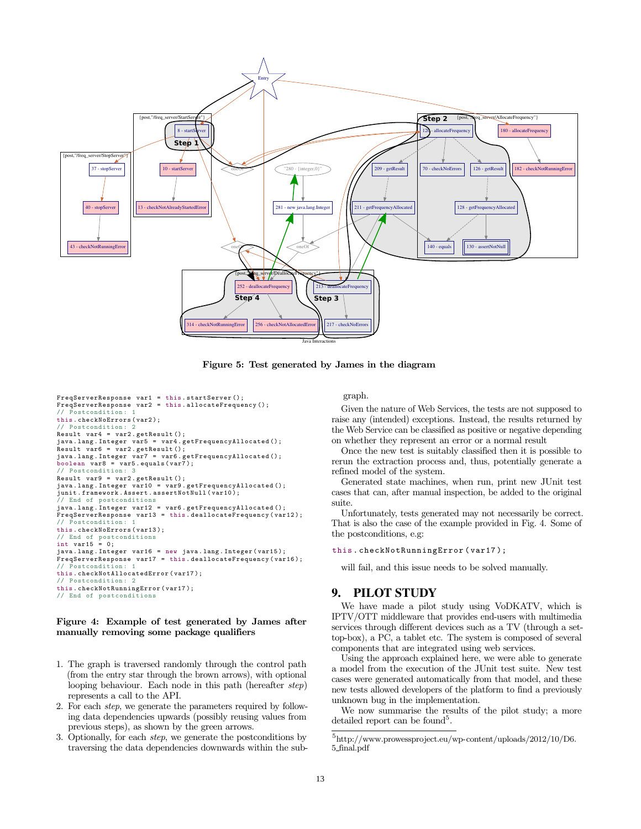

Figure 5: Test generated by James in the diagram

```
FreqServerResponse var1 = this . startServer ();
FreqServerResponse var2 = this . allocateFrequency ();
// Postcondition : 1
this . checkNoErrors ( var2 );
// Postcondition : 2
Result var4 = var2 . getResult ();
java . lang . Integer var5 = var4 . getFrequencyAllocated ();
Result var6 = var2 . getResult ();
java . lang . Integer var7 = var6 . getFrequencyAllocated ();
boolean var8 = var5. equals (var\tilde{7});
// Postcondition : 3
Result var9 = var2.getResult();
java . lang . Integer var10 = var9 . getFrequencyAllocated ();
junit . framework . Assert . assertNotNull ( var10 );
// End of postconditions
java . lang . Integer var12 = var6 . getFrequencyAllocated ();
FreqServerResponse var13 = this . deallocateFrequency ( var12 );
   Postcondition: 1
this . checkNoErrors ( var13 );
// End of postconditions
int var15 = 0;
java.lang. Integer var16 = new java.lang. Integer (var15);
FreqServerResponse var17 = this . deallocateFrequency ( var16 );
   Postcondition: 1
this . checkNotAllocatedError ( var17 );
// Postcondition : 2
this . checkNotRunningError ( var17 );
// End of postconditions
```
#### Figure 4: Example of test generated by James after manually removing some package qualifiers

- 1. The graph is traversed randomly through the control path (from the entry star through the brown arrows), with optional looping behaviour. Each node in this path (hereafter *step*) represents a call to the API.
- 2. For each *step*, we generate the parameters required by following data dependencies upwards (possibly reusing values from previous steps), as shown by the green arrows.
- 3. Optionally, for each *step*, we generate the postconditions by traversing the data dependencies downwards within the sub-

graph.

Given the nature of Web Services, the tests are not supposed to raise any (intended) exceptions. Instead, the results returned by the Web Service can be classified as positive or negative depending on whether they represent an error or a normal result

Once the new test is suitably classified then it is possible to rerun the extraction process and, thus, potentially generate a refined model of the system.

Generated state machines, when run, print new JUnit test cases that can, after manual inspection, be added to the original suite.

Unfortunately, tests generated may not necessarily be correct. That is also the case of the example provided in Fig. 4. Some of the postconditions, e.g:

#### this . checkNotRunningError ( var17 );

will fail, and this issue needs to be solved manually.

#### 9. PILOT STUDY

We have made a pilot study using VoDKATV, which is IPTV/OTT middleware that provides end-users with multimedia services through different devices such as a TV (through a settop-box), a PC, a tablet etc. The system is composed of several components that are integrated using web services.

Using the approach explained here, we were able to generate a model from the execution of the JUnit test suite. New test cases were generated automatically from that model, and these new tests allowed developers of the platform to find a previously unknown bug in the implementation.

We now summarise the results of the pilot study; a more detailed report can be found<sup>5</sup>.

<sup>5</sup> http://www.prowessproject.eu/wp-content/uploads/2012/10/D6. 5 final.pdf